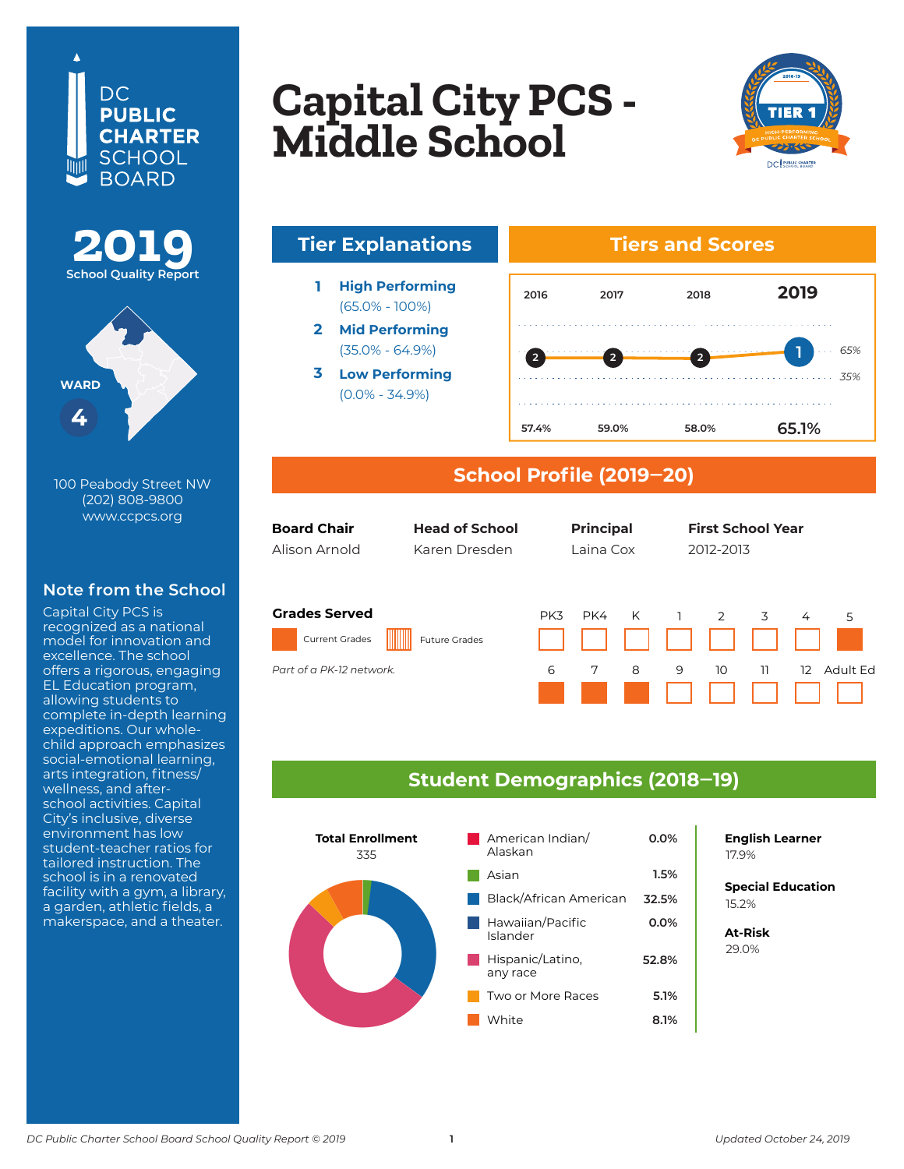





100 Peabody Street NW (202) 808-9800 www.ccpcs.org

## **Note from the School**

Capital City PCS is recognized as a national model for innovation and excellence. The school offers a rigorous, engaging EL Education program, allowing students to complete in-depth learning expeditions. Our wholechild approach emphasizes social-emotional learning, arts integration, fitness/ wellness, and afterschool activities. Capital City's inclusive, diverse environment has low student-teacher ratios for tailored instruction. The school is in a renovated facility with a gym, a library, a garden, athletic fields, a makerspace, and a theater.

## **Copital City DCS** Capital City PCS<br>Middle Seboel **Columbia Heights Capital City PCS - Middle School**



# **Tier Explanations Tiers and Scores**

- **1 High Performing** (65.0% - 100%)
- **2 Mid Performing** (35.0% - 64.9%)
- **3 Low Performing** (0.0% - 34.9%)



### **School Profile (2019‒20)**

| <b>Board Chair</b><br>Alison Arnold                                       | <b>Head of School</b><br>Karen Dresden | <b>Principal</b><br><b>First School Year</b><br>Laina Cox<br>2012-2013                                  |  |
|---------------------------------------------------------------------------|----------------------------------------|---------------------------------------------------------------------------------------------------------|--|
| <b>Grades Served</b><br><b>Current Grades</b><br>Part of a PK-12 network. | <b>Future Grades</b>                   | K<br>PK4<br>PK3<br>$\overline{1}$<br>2<br>3<br>4<br>5<br>6<br>7<br>8<br>9<br>10<br>11<br>Adult Fd<br>12 |  |
|                                                                           |                                        |                                                                                                         |  |

### **Student Demographics (2018‒19)**



**English Learner**

**Special Education** 6.2% 15.2%

**At-Risk** 37.0% 29.0%